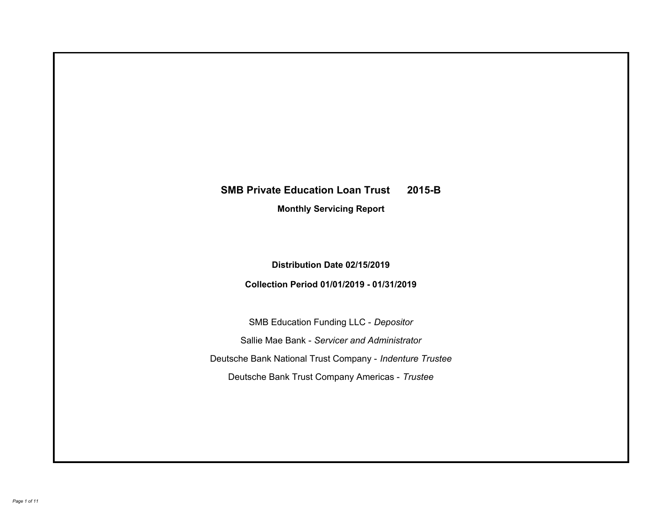# **SMB Private Education Loan Trust 2015-B Monthly Servicing Report**

# **Distribution Date 02/15/2019**

# **Collection Period 01/01/2019 - 01/31/2019**

SMB Education Funding LLC - *Depositor* Sallie Mae Bank - *Servicer and Administrator* Deutsche Bank National Trust Company - *Indenture Trustee* Deutsche Bank Trust Company Americas - *Trustee*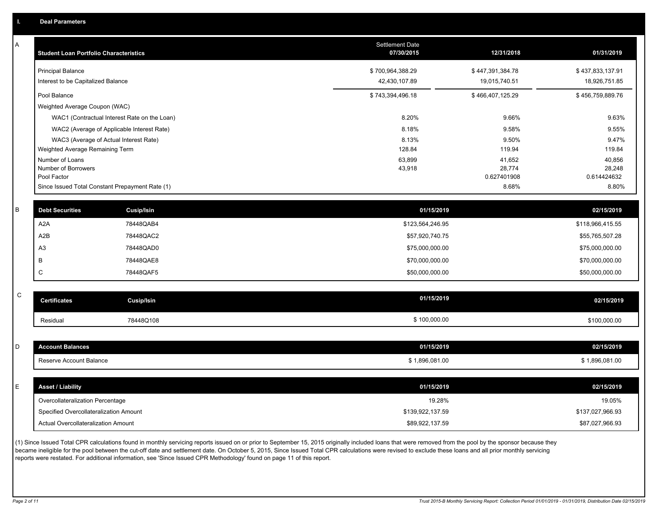| Α           | <b>Student Loan Portfolio Characteristics</b>   |                                              | Settlement Date<br>07/30/2015 | 12/31/2018            | 01/31/2019            |
|-------------|-------------------------------------------------|----------------------------------------------|-------------------------------|-----------------------|-----------------------|
|             | <b>Principal Balance</b>                        |                                              | \$700,964,388.29              | \$447,391,384.78      | \$437,833,137.91      |
|             | Interest to be Capitalized Balance              |                                              | 42,430,107.89                 | 19,015,740.51         | 18,926,751.85         |
|             | Pool Balance                                    |                                              | \$743,394,496.18              | \$466,407,125.29      | \$456,759,889.76      |
|             | Weighted Average Coupon (WAC)                   |                                              |                               |                       |                       |
|             |                                                 | WAC1 (Contractual Interest Rate on the Loan) | 8.20%                         | 9.66%                 | 9.63%                 |
|             |                                                 | WAC2 (Average of Applicable Interest Rate)   | 8.18%                         | 9.58%                 | 9.55%                 |
|             | WAC3 (Average of Actual Interest Rate)          |                                              | 8.13%                         | 9.50%                 | 9.47%                 |
|             | Weighted Average Remaining Term                 |                                              | 128.84                        | 119.94                | 119.84                |
|             | Number of Loans                                 |                                              | 63,899                        | 41,652                | 40,856                |
|             | Number of Borrowers<br>Pool Factor              |                                              | 43,918                        | 28,774<br>0.627401908 | 28,248<br>0.614424632 |
|             | Since Issued Total Constant Prepayment Rate (1) |                                              |                               | 8.68%                 | 8.80%                 |
|             |                                                 |                                              |                               |                       |                       |
| B           | <b>Debt Securities</b>                          | Cusip/Isin                                   | 01/15/2019                    |                       | 02/15/2019            |
|             | A <sub>2</sub> A                                | 78448QAB4                                    | \$123,564,246.95              |                       | \$118,966,415.55      |
|             | A2B                                             | 78448QAC2                                    | \$57,920,740.75               |                       | \$55,765,507.28       |
|             | A <sub>3</sub>                                  | 78448QAD0                                    | \$75,000,000.00               |                       | \$75,000,000.00       |
|             | B                                               | 78448QAE8                                    | \$70,000,000.00               |                       | \$70,000,000.00       |
|             | C                                               | 78448QAF5                                    | \$50,000,000.00               |                       | \$50,000,000.00       |
|             |                                                 |                                              |                               |                       |                       |
| $\mathsf C$ | <b>Certificates</b>                             | Cusip/Isin                                   | 01/15/2019                    |                       | 02/15/2019            |
|             | Residual                                        | 78448Q108                                    | \$100,000.00                  |                       | \$100,000.00          |
|             |                                                 |                                              |                               |                       |                       |
| D           | <b>Account Balances</b>                         |                                              | 01/15/2019                    |                       | 02/15/2019            |
|             | Reserve Account Balance                         |                                              | \$1,896,081.00                |                       | \$1,896,081.00        |
|             |                                                 |                                              |                               |                       |                       |
| E           | <b>Asset / Liability</b>                        |                                              | 01/15/2019                    |                       | 02/15/2019            |
|             | Overcollateralization Percentage                |                                              | 19.28%                        |                       | 19.05%                |
|             | Specified Overcollateralization Amount          |                                              | \$139,922,137.59              |                       | \$137,027,966.93      |
|             | Actual Overcollateralization Amount             |                                              | \$89,922,137.59               |                       | \$87,027,966.93       |
|             |                                                 |                                              |                               |                       |                       |

(1) Since Issued Total CPR calculations found in monthly servicing reports issued on or prior to September 15, 2015 originally included loans that were removed from the pool by the sponsor because they became ineligible for the pool between the cut-off date and settlement date. On October 5, 2015, Since Issued Total CPR calculations were revised to exclude these loans and all prior monthly servicing reports were restated. For additional information, see 'Since Issued CPR Methodology' found on page 11 of this report.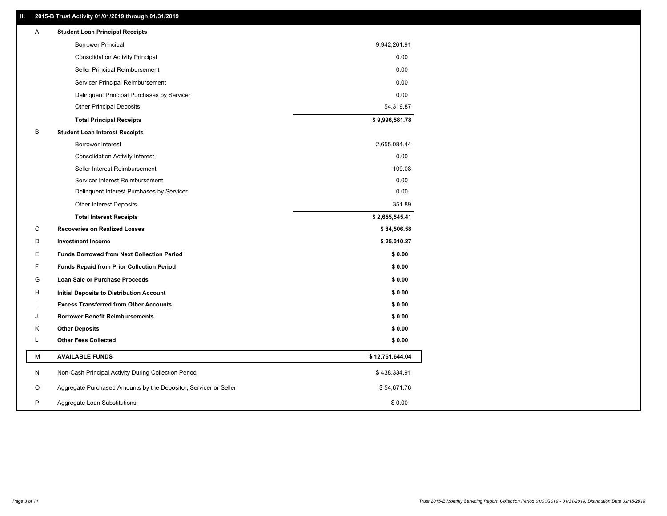### **II. 2015-B Trust Activity 01/01/2019 through 01/31/2019**

| Α | <b>Student Loan Principal Receipts</b>                           |                 |  |
|---|------------------------------------------------------------------|-----------------|--|
|   | <b>Borrower Principal</b>                                        | 9,942,261.91    |  |
|   | <b>Consolidation Activity Principal</b>                          | 0.00            |  |
|   | Seller Principal Reimbursement                                   | 0.00            |  |
|   | Servicer Principal Reimbursement                                 | 0.00            |  |
|   | Delinquent Principal Purchases by Servicer                       | 0.00            |  |
|   | <b>Other Principal Deposits</b>                                  | 54,319.87       |  |
|   | <b>Total Principal Receipts</b>                                  | \$9,996,581.78  |  |
| В | <b>Student Loan Interest Receipts</b>                            |                 |  |
|   | <b>Borrower Interest</b>                                         | 2,655,084.44    |  |
|   | <b>Consolidation Activity Interest</b>                           | 0.00            |  |
|   | Seller Interest Reimbursement                                    | 109.08          |  |
|   | Servicer Interest Reimbursement                                  | 0.00            |  |
|   | Delinquent Interest Purchases by Servicer                        | 0.00            |  |
|   | <b>Other Interest Deposits</b>                                   | 351.89          |  |
|   | <b>Total Interest Receipts</b>                                   | \$2,655,545.41  |  |
| С | <b>Recoveries on Realized Losses</b>                             | \$84,506.58     |  |
| D | <b>Investment Income</b>                                         | \$25,010.27     |  |
| Е | <b>Funds Borrowed from Next Collection Period</b>                | \$0.00          |  |
| F | <b>Funds Repaid from Prior Collection Period</b>                 | \$0.00          |  |
| G | Loan Sale or Purchase Proceeds                                   | \$0.00          |  |
| н | Initial Deposits to Distribution Account                         | \$0.00          |  |
|   | <b>Excess Transferred from Other Accounts</b>                    | \$0.00          |  |
| J | <b>Borrower Benefit Reimbursements</b>                           | \$0.00          |  |
| Κ | <b>Other Deposits</b>                                            | \$0.00          |  |
| Г | <b>Other Fees Collected</b>                                      | \$0.00          |  |
| М | <b>AVAILABLE FUNDS</b>                                           | \$12,761,644.04 |  |
| N | Non-Cash Principal Activity During Collection Period             | \$438,334.91    |  |
| O | Aggregate Purchased Amounts by the Depositor, Servicer or Seller | \$54,671.76     |  |
| P | Aggregate Loan Substitutions                                     | \$0.00          |  |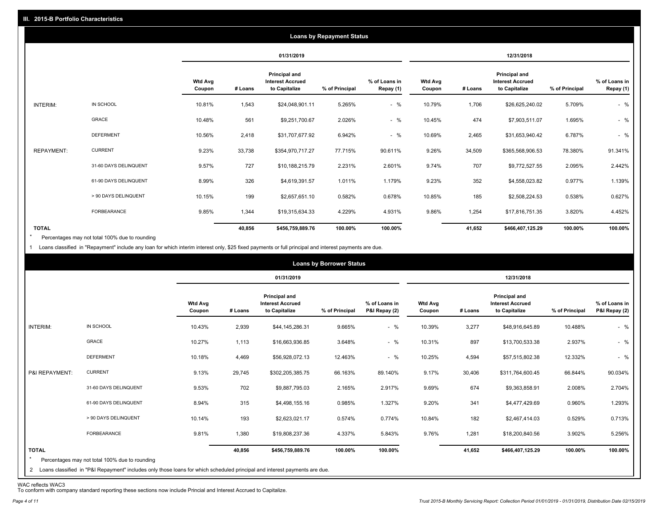|                   |                       |                          |         |                                                           | <b>Loans by Repayment Status</b> |                            |                          |         |                                                           |                |                            |
|-------------------|-----------------------|--------------------------|---------|-----------------------------------------------------------|----------------------------------|----------------------------|--------------------------|---------|-----------------------------------------------------------|----------------|----------------------------|
|                   |                       |                          |         | 01/31/2019                                                |                                  |                            |                          |         | 12/31/2018                                                |                |                            |
|                   |                       | <b>Wtd Avg</b><br>Coupon | # Loans | Principal and<br><b>Interest Accrued</b><br>to Capitalize | % of Principal                   | % of Loans in<br>Repay (1) | <b>Wtd Avg</b><br>Coupon | # Loans | Principal and<br><b>Interest Accrued</b><br>to Capitalize | % of Principal | % of Loans in<br>Repay (1) |
| INTERIM:          | IN SCHOOL             | 10.81%                   | 1,543   | \$24,048,901.11                                           | 5.265%                           | $-$ %                      | 10.79%                   | 1,706   | \$26,625,240.02                                           | 5.709%         | $-$ %                      |
|                   | GRACE                 | 10.48%                   | 561     | \$9,251,700.67                                            | 2.026%                           | $-$ %                      | 10.45%                   | 474     | \$7,903,511.07                                            | 1.695%         | $-$ %                      |
|                   | <b>DEFERMENT</b>      | 10.56%                   | 2,418   | \$31,707,677.92                                           | 6.942%                           | $-$ %                      | 10.69%                   | 2,465   | \$31,653,940.42                                           | 6.787%         | $-$ %                      |
| <b>REPAYMENT:</b> | <b>CURRENT</b>        | 9.23%                    | 33,738  | \$354,970,717.27                                          | 77.715%                          | 90.611%                    | 9.26%                    | 34,509  | \$365,568,906.53                                          | 78.380%        | 91.341%                    |
|                   | 31-60 DAYS DELINQUENT | 9.57%                    | 727     | \$10,188,215.79                                           | 2.231%                           | 2.601%                     | 9.74%                    | 707     | \$9,772,527.55                                            | 2.095%         | 2.442%                     |
|                   | 61-90 DAYS DELINQUENT | 8.99%                    | 326     | \$4,619,391.57                                            | 1.011%                           | 1.179%                     | 9.23%                    | 352     | \$4,558,023.82                                            | 0.977%         | 1.139%                     |
|                   | > 90 DAYS DELINQUENT  | 10.15%                   | 199     | \$2,657,651.10                                            | 0.582%                           | 0.678%                     | 10.85%                   | 185     | \$2,508,224.53                                            | 0.538%         | 0.627%                     |
|                   | FORBEARANCE           | 9.85%                    | 1,344   | \$19,315,634.33                                           | 4.229%                           | 4.931%                     | 9.86%                    | 1,254   | \$17,816,751.35                                           | 3.820%         | 4.452%                     |
| <b>TOTAL</b>      |                       |                          | 40,856  | \$456,759,889.76                                          | 100.00%                          | 100.00%                    |                          | 41,652  | \$466,407,125.29                                          | 100.00%        | 100.00%                    |

Percentages may not total 100% due to rounding  $\star$ 

1 Loans classified in "Repayment" include any loan for which interim interest only, \$25 fixed payments or full principal and interest payments are due.

|                         |                                                                                                                                                                                |                          |         |                                                                  | <b>Loans by Borrower Status</b> |                                |                          |         |                                                                  |                |                                |
|-------------------------|--------------------------------------------------------------------------------------------------------------------------------------------------------------------------------|--------------------------|---------|------------------------------------------------------------------|---------------------------------|--------------------------------|--------------------------|---------|------------------------------------------------------------------|----------------|--------------------------------|
|                         |                                                                                                                                                                                |                          |         | 01/31/2019                                                       |                                 |                                |                          |         | 12/31/2018                                                       |                |                                |
|                         |                                                                                                                                                                                | <b>Wtd Avg</b><br>Coupon | # Loans | <b>Principal and</b><br><b>Interest Accrued</b><br>to Capitalize | % of Principal                  | % of Loans in<br>P&I Repay (2) | <b>Wtd Avg</b><br>Coupon | # Loans | <b>Principal and</b><br><b>Interest Accrued</b><br>to Capitalize | % of Principal | % of Loans in<br>P&I Repay (2) |
| INTERIM:                | IN SCHOOL                                                                                                                                                                      | 10.43%                   | 2,939   | \$44,145,286.31                                                  | 9.665%                          | $-$ %                          | 10.39%                   | 3,277   | \$48,916,645.89                                                  | 10.488%        | $-$ %                          |
|                         | <b>GRACE</b>                                                                                                                                                                   | 10.27%                   | 1,113   | \$16,663,936.85                                                  | 3.648%                          | $-$ %                          | 10.31%                   | 897     | \$13,700,533.38                                                  | 2.937%         | $-$ %                          |
|                         | <b>DEFERMENT</b>                                                                                                                                                               | 10.18%                   | 4,469   | \$56,928,072.13                                                  | 12.463%                         | $-$ %                          | 10.25%                   | 4,594   | \$57,515,802.38                                                  | 12.332%        | $-$ %                          |
| P&I REPAYMENT:          | <b>CURRENT</b>                                                                                                                                                                 | 9.13%                    | 29,745  | \$302,205,385.75                                                 | 66.163%                         | 89.140%                        | 9.17%                    | 30,406  | \$311,764,600.45                                                 | 66.844%        | 90.034%                        |
|                         | 31-60 DAYS DELINQUENT                                                                                                                                                          | 9.53%                    | 702     | \$9,887,795.03                                                   | 2.165%                          | 2.917%                         | 9.69%                    | 674     | \$9,363,858.91                                                   | 2.008%         | 2.704%                         |
|                         | 61-90 DAYS DELINQUENT                                                                                                                                                          | 8.94%                    | 315     | \$4,498,155.16                                                   | 0.985%                          | 1.327%                         | 9.20%                    | 341     | \$4,477,429.69                                                   | 0.960%         | 1.293%                         |
|                         | > 90 DAYS DELINQUENT                                                                                                                                                           | 10.14%                   | 193     | \$2,623,021.17                                                   | 0.574%                          | 0.774%                         | 10.84%                   | 182     | \$2,467,414.03                                                   | 0.529%         | 0.713%                         |
|                         | <b>FORBEARANCE</b>                                                                                                                                                             | 9.81%                    | 1,380   | \$19,808,237.36                                                  | 4.337%                          | 5.843%                         | 9.76%                    | 1,281   | \$18,200,840.56                                                  | 3.902%         | 5.256%                         |
| <b>TOTAL</b><br>$\star$ | Percentages may not total 100% due to rounding<br>2 Loans classified in "P&I Repayment" includes only those loans for which scheduled principal and interest payments are due. |                          | 40,856  | \$456,759,889.76                                                 | 100.00%                         | 100.00%                        |                          | 41,652  | \$466,407,125.29                                                 | 100.00%        | 100.00%                        |
|                         |                                                                                                                                                                                |                          |         |                                                                  |                                 |                                |                          |         |                                                                  |                |                                |

WAC reflects WAC3 To conform with company standard reporting these sections now include Princial and Interest Accrued to Capitalize.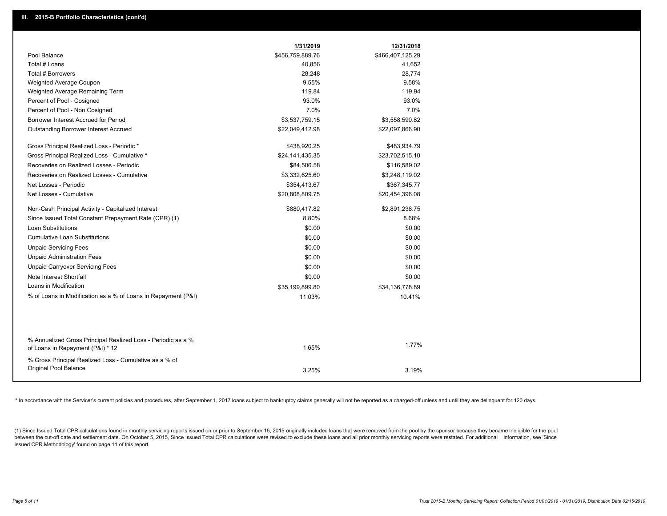|                                                                                                  | 1/31/2019        | 12/31/2018       |
|--------------------------------------------------------------------------------------------------|------------------|------------------|
| Pool Balance                                                                                     | \$456,759,889.76 | \$466,407,125.29 |
| Total # Loans                                                                                    | 40,856           | 41,652           |
| Total # Borrowers                                                                                | 28,248           | 28,774           |
| Weighted Average Coupon                                                                          | 9.55%            | 9.58%            |
| Weighted Average Remaining Term                                                                  | 119.84           | 119.94           |
| Percent of Pool - Cosigned                                                                       | 93.0%            | 93.0%            |
| Percent of Pool - Non Cosigned                                                                   | 7.0%             | 7.0%             |
| Borrower Interest Accrued for Period                                                             | \$3,537,759.15   | \$3,558,590.82   |
| <b>Outstanding Borrower Interest Accrued</b>                                                     | \$22,049,412.98  | \$22,097,866.90  |
| Gross Principal Realized Loss - Periodic *                                                       | \$438,920.25     | \$483,934.79     |
| Gross Principal Realized Loss - Cumulative *                                                     | \$24,141,435.35  | \$23,702,515.10  |
| Recoveries on Realized Losses - Periodic                                                         | \$84,506.58      | \$116,589.02     |
| Recoveries on Realized Losses - Cumulative                                                       | \$3,332,625.60   | \$3,248,119.02   |
| Net Losses - Periodic                                                                            | \$354,413.67     | \$367,345.77     |
| Net Losses - Cumulative                                                                          | \$20,808,809.75  | \$20,454,396.08  |
| Non-Cash Principal Activity - Capitalized Interest                                               | \$880,417.82     | \$2,891,238.75   |
| Since Issued Total Constant Prepayment Rate (CPR) (1)                                            | 8.80%            | 8.68%            |
| Loan Substitutions                                                                               | \$0.00           | \$0.00           |
| <b>Cumulative Loan Substitutions</b>                                                             | \$0.00           | \$0.00           |
| <b>Unpaid Servicing Fees</b>                                                                     | \$0.00           | \$0.00           |
| <b>Unpaid Administration Fees</b>                                                                | \$0.00           | \$0.00           |
| <b>Unpaid Carryover Servicing Fees</b>                                                           | \$0.00           | \$0.00           |
| Note Interest Shortfall                                                                          | \$0.00           | \$0.00           |
| Loans in Modification                                                                            | \$35,199,899.80  | \$34,136,778.89  |
| % of Loans in Modification as a % of Loans in Repayment (P&I)                                    | 11.03%           | 10.41%           |
|                                                                                                  |                  |                  |
| % Annualized Gross Principal Realized Loss - Periodic as a %<br>of Loans in Repayment (P&I) * 12 | 1.65%            | 1.77%            |
| % Gross Principal Realized Loss - Cumulative as a % of<br><b>Original Pool Balance</b>           |                  |                  |
|                                                                                                  | 3.25%            | 3.19%            |

\* In accordance with the Servicer's current policies and procedures, after September 1, 2017 loans subject to bankruptcy claims generally will not be reported as a charged-off unless and until they are delinquent for 120 d

(1) Since Issued Total CPR calculations found in monthly servicing reports issued on or prior to September 15, 2015 originally included loans that were removed from the pool by the sponsor because they became ineligible fo between the cut-off date and settlement date. On October 5, 2015, Since Issued Total CPR calculations were revised to exclude these loans and all prior monthly servicing reports were restated. For additional information, s Issued CPR Methodology' found on page 11 of this report.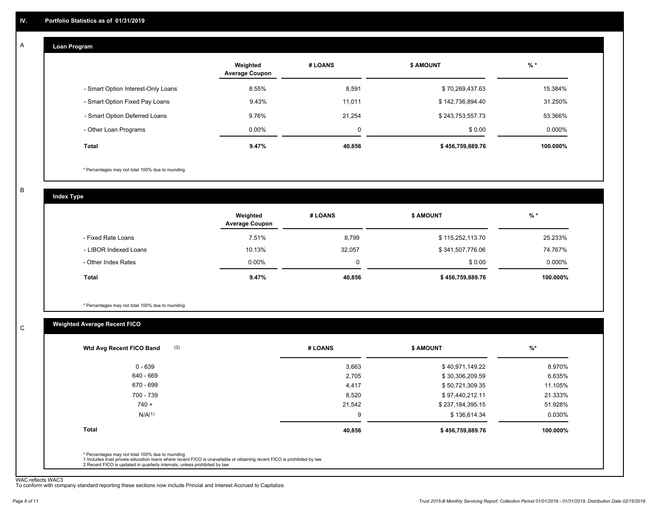#### **Loan Program**  A

|                                    | Weighted<br><b>Average Coupon</b> | # LOANS | <b>\$ AMOUNT</b> | $%$ *    |
|------------------------------------|-----------------------------------|---------|------------------|----------|
| - Smart Option Interest-Only Loans | 8.55%                             | 8,591   | \$70,269,437.63  | 15.384%  |
| - Smart Option Fixed Pay Loans     | 9.43%                             | 11,011  | \$142,736,894.40 | 31.250%  |
| - Smart Option Deferred Loans      | 9.76%                             | 21.254  | \$243,753,557.73 | 53.366%  |
| - Other Loan Programs              | $0.00\%$                          | 0       | \$0.00           | 0.000%   |
| <b>Total</b>                       | 9.47%                             | 40,856  | \$456,759,889.76 | 100.000% |

\* Percentages may not total 100% due to rounding

B

C

**Index Type**

|                       | Weighted<br><b>Average Coupon</b> | # LOANS | <b>\$ AMOUNT</b> | $%$ *     |
|-----------------------|-----------------------------------|---------|------------------|-----------|
| - Fixed Rate Loans    | 7.51%                             | 8,799   | \$115,252,113.70 | 25.233%   |
| - LIBOR Indexed Loans | 10.13%                            | 32,057  | \$341,507,776.06 | 74.767%   |
| - Other Index Rates   | $0.00\%$                          | 0       | \$0.00           | $0.000\%$ |
| Total                 | 9.47%                             | 40,856  | \$456,759,889.76 | 100.000%  |

\* Percentages may not total 100% due to rounding

### **Weighted Average Recent FICO**

| 3,663<br>\$40,971,149.22<br>2,705<br>\$30,306,209.59<br>4,417<br>\$50,721,309.35<br>8,520<br>\$97,440,212.11 | 8.970%<br>6.635%<br>11.105% |
|--------------------------------------------------------------------------------------------------------------|-----------------------------|
|                                                                                                              |                             |
|                                                                                                              |                             |
|                                                                                                              |                             |
|                                                                                                              | 21.333%                     |
| 21,542<br>\$237,184,395.15                                                                                   | 51.928%                     |
| \$136,614.34<br>9                                                                                            | 0.030%                      |
| 40,856<br>\$456,759,889.76                                                                                   | 100.000%                    |
|                                                                                                              |                             |

WAC reflects WAC3 To conform with company standard reporting these sections now include Princial and Interest Accrued to Capitalize.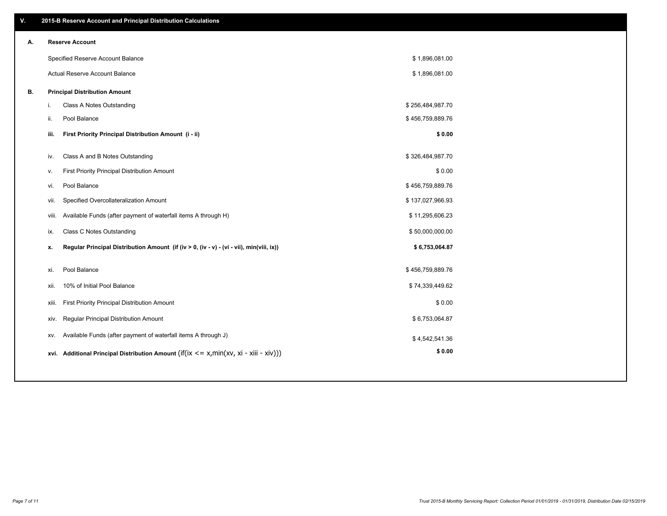| ۷. |      | 2015-B Reserve Account and Principal Distribution Calculations                             |                  |  |
|----|------|--------------------------------------------------------------------------------------------|------------------|--|
| А. |      | <b>Reserve Account</b>                                                                     |                  |  |
|    |      | Specified Reserve Account Balance                                                          | \$1,896,081.00   |  |
|    |      | Actual Reserve Account Balance                                                             | \$1,896,081.00   |  |
| В. |      | <b>Principal Distribution Amount</b>                                                       |                  |  |
|    | i.   | Class A Notes Outstanding                                                                  | \$256,484,987.70 |  |
|    | ii.  | Pool Balance                                                                               | \$456,759,889.76 |  |
|    |      | First Priority Principal Distribution Amount (i - ii)<br>iii.                              | \$0.00           |  |
|    |      |                                                                                            |                  |  |
|    | iv.  | Class A and B Notes Outstanding                                                            | \$326,484,987.70 |  |
|    | v.   | First Priority Principal Distribution Amount                                               | \$0.00           |  |
|    | vi.  | Pool Balance                                                                               | \$456,759,889.76 |  |
|    |      | Specified Overcollateralization Amount<br>vii.                                             | \$137,027,966.93 |  |
|    |      | Available Funds (after payment of waterfall items A through H)<br>viii.                    | \$11,295,606.23  |  |
|    | ix.  | <b>Class C Notes Outstanding</b>                                                           | \$50,000,000.00  |  |
|    | х.   | Regular Principal Distribution Amount (if (iv > 0, (iv - v) - (vi - vii), min(viii, ix))   | \$6,753,064.87   |  |
|    | xi.  | Pool Balance                                                                               | \$456,759,889.76 |  |
|    | xii. | 10% of Initial Pool Balance                                                                | \$74,339,449.62  |  |
|    |      |                                                                                            | \$0.00           |  |
|    |      | First Priority Principal Distribution Amount<br>xiii.                                      |                  |  |
|    |      | Regular Principal Distribution Amount<br>XIV.                                              | \$6,753,064.87   |  |
|    |      | Available Funds (after payment of waterfall items A through J)<br>XV.                      | \$4,542,541.36   |  |
|    |      | xvi. Additional Principal Distribution Amount (if(ix $\lt$ = x, min(xv, xi - xiii - xiv))) | \$0.00           |  |
|    |      |                                                                                            |                  |  |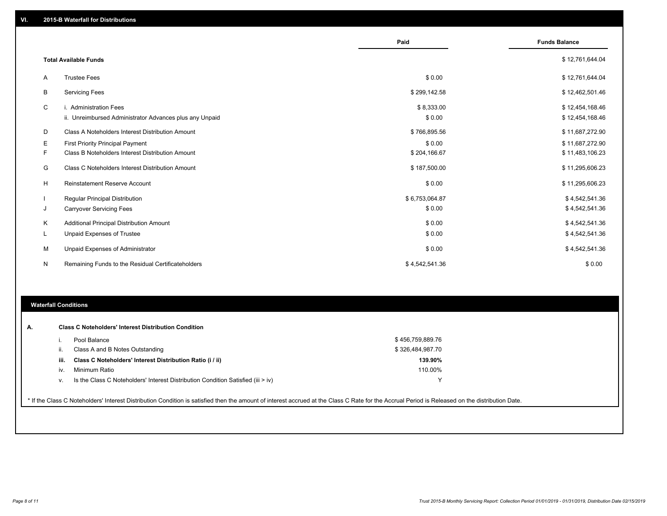|   |                                                         | Paid           | <b>Funds Balance</b> |
|---|---------------------------------------------------------|----------------|----------------------|
|   | <b>Total Available Funds</b>                            |                | \$12,761,644.04      |
| A | <b>Trustee Fees</b>                                     | \$0.00         | \$12,761,644.04      |
| В | <b>Servicing Fees</b>                                   | \$299,142.58   | \$12,462,501.46      |
| C | i. Administration Fees                                  | \$8,333.00     | \$12,454,168.46      |
|   | ii. Unreimbursed Administrator Advances plus any Unpaid | \$0.00         | \$12,454,168.46      |
| D | Class A Noteholders Interest Distribution Amount        | \$766,895.56   | \$11,687,272.90      |
| Е | <b>First Priority Principal Payment</b>                 | \$0.00         | \$11,687,272.90      |
| F | Class B Noteholders Interest Distribution Amount        | \$204,166.67   | \$11,483,106.23      |
| G | Class C Noteholders Interest Distribution Amount        | \$187,500.00   | \$11,295,606.23      |
| H | Reinstatement Reserve Account                           | \$0.00         | \$11,295,606.23      |
|   | <b>Regular Principal Distribution</b>                   | \$6,753,064.87 | \$4,542,541.36       |
| J | <b>Carryover Servicing Fees</b>                         | \$0.00         | \$4,542,541.36       |
| K | Additional Principal Distribution Amount                | \$0.00         | \$4,542,541.36       |
| L | <b>Unpaid Expenses of Trustee</b>                       | \$0.00         | \$4,542,541.36       |
| М | <b>Unpaid Expenses of Administrator</b>                 | \$0.00         | \$4,542,541.36       |
| N | Remaining Funds to the Residual Certificateholders      | \$4,542,541.36 | \$0.00               |
|   |                                                         |                |                      |

### **Waterfall Conditions**

| А. |      | <b>Class C Noteholders' Interest Distribution Condition</b>                                                                                                                                     |                  |  |
|----|------|-------------------------------------------------------------------------------------------------------------------------------------------------------------------------------------------------|------------------|--|
|    |      | Pool Balance                                                                                                                                                                                    | \$456,759,889.76 |  |
|    | ii.  | Class A and B Notes Outstanding                                                                                                                                                                 | \$326,484,987.70 |  |
|    | iii. | Class C Noteholders' Interest Distribution Ratio (i / ii)                                                                                                                                       | 139.90%          |  |
|    | iv.  | Minimum Ratio                                                                                                                                                                                   | 110.00%          |  |
|    | V.   | Is the Class C Noteholders' Interest Distribution Condition Satisfied (iii > iv)                                                                                                                | $\checkmark$     |  |
|    |      |                                                                                                                                                                                                 |                  |  |
|    |      | * If the Class C Noteholders' Interest Distribution Condition is satisfied then the amount of interest accrued at the Class C Rate for the Accrual Period is Released on the distribution Date. |                  |  |
|    |      |                                                                                                                                                                                                 |                  |  |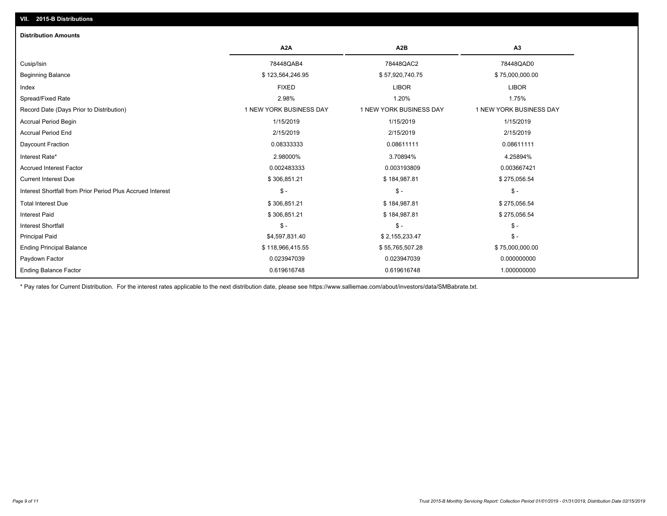| <b>Distribution Amounts</b>                                |                         |                         |                         |
|------------------------------------------------------------|-------------------------|-------------------------|-------------------------|
|                                                            | A <sub>2</sub> A        | A <sub>2</sub> B        | A3                      |
| Cusip/Isin                                                 | 78448QAB4               | 78448QAC2               | 78448QAD0               |
| <b>Beginning Balance</b>                                   | \$123,564,246.95        | \$57,920,740.75         | \$75,000,000.00         |
| Index                                                      | <b>FIXED</b>            | <b>LIBOR</b>            | <b>LIBOR</b>            |
| Spread/Fixed Rate                                          | 2.98%                   | 1.20%                   | 1.75%                   |
| Record Date (Days Prior to Distribution)                   | 1 NEW YORK BUSINESS DAY | 1 NEW YORK BUSINESS DAY | 1 NEW YORK BUSINESS DAY |
| <b>Accrual Period Begin</b>                                | 1/15/2019               | 1/15/2019               | 1/15/2019               |
| <b>Accrual Period End</b>                                  | 2/15/2019               | 2/15/2019               | 2/15/2019               |
| <b>Daycount Fraction</b>                                   | 0.08333333              | 0.08611111              | 0.08611111              |
| Interest Rate*                                             | 2.98000%                | 3.70894%                | 4.25894%                |
| <b>Accrued Interest Factor</b>                             | 0.002483333             | 0.003193809             | 0.003667421             |
| <b>Current Interest Due</b>                                | \$306,851.21            | \$184,987.81            | \$275,056.54            |
| Interest Shortfall from Prior Period Plus Accrued Interest | $\mathsf{\$}$ -         | $\mathcal{S}$ -         | $\mathsf{\$}$ -         |
| <b>Total Interest Due</b>                                  | \$306,851.21            | \$184,987.81            | \$275,056.54            |
| <b>Interest Paid</b>                                       | \$306,851.21            | \$184,987.81            | \$275,056.54            |
| <b>Interest Shortfall</b>                                  | $\mathsf{\$}$ -         | $\mathsf{\$}$ -         | $\frac{1}{2}$           |
| <b>Principal Paid</b>                                      | \$4,597,831.40          | \$2,155,233.47          | $$ -$                   |
| <b>Ending Principal Balance</b>                            | \$118,966,415.55        | \$55,765,507.28         | \$75,000,000.00         |
| Paydown Factor                                             | 0.023947039             | 0.023947039             | 0.000000000             |
| <b>Ending Balance Factor</b>                               | 0.619616748             | 0.619616748             | 1.000000000             |

\* Pay rates for Current Distribution. For the interest rates applicable to the next distribution date, please see https://www.salliemae.com/about/investors/data/SMBabrate.txt.

**VII. 2015-B Distributions**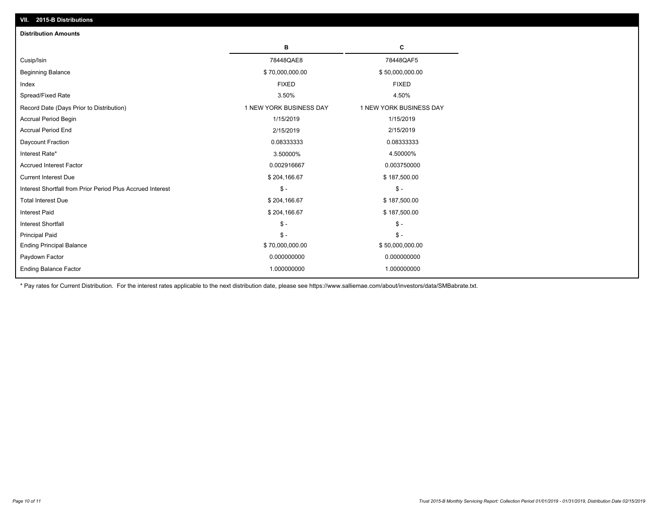| <b>Distribution Amounts</b>                                |                         |                         |
|------------------------------------------------------------|-------------------------|-------------------------|
|                                                            | в                       | C                       |
| Cusip/Isin                                                 | 78448QAE8               | 78448QAF5               |
| <b>Beginning Balance</b>                                   | \$70,000,000.00         | \$50,000,000.00         |
| Index                                                      | <b>FIXED</b>            | <b>FIXED</b>            |
| Spread/Fixed Rate                                          | 3.50%                   | 4.50%                   |
| Record Date (Days Prior to Distribution)                   | 1 NEW YORK BUSINESS DAY | 1 NEW YORK BUSINESS DAY |
| <b>Accrual Period Begin</b>                                | 1/15/2019               | 1/15/2019               |
| <b>Accrual Period End</b>                                  | 2/15/2019               | 2/15/2019               |
| Daycount Fraction                                          | 0.08333333              | 0.08333333              |
| Interest Rate*                                             | 3.50000%                | 4.50000%                |
| <b>Accrued Interest Factor</b>                             | 0.002916667             | 0.003750000             |
| <b>Current Interest Due</b>                                | \$204,166.67            | \$187,500.00            |
| Interest Shortfall from Prior Period Plus Accrued Interest | $\mathsf{\$}$ -         | $\mathsf{\$}$ -         |
| <b>Total Interest Due</b>                                  | \$204,166.67            | \$187,500.00            |
| Interest Paid                                              | \$204,166.67            | \$187,500.00            |
| <b>Interest Shortfall</b>                                  | $\mathsf{\$}$ -         | $\mathsf{\$}$ -         |
| <b>Principal Paid</b>                                      | $\mathsf{\$}$ -         | $$ -$                   |
| <b>Ending Principal Balance</b>                            | \$70,000,000.00         | \$50,000,000.00         |
| Paydown Factor                                             | 0.000000000             | 0.000000000             |
| <b>Ending Balance Factor</b>                               | 1.000000000             | 1.000000000             |

\* Pay rates for Current Distribution. For the interest rates applicable to the next distribution date, please see https://www.salliemae.com/about/investors/data/SMBabrate.txt.

**VII. 2015-B Distributions**